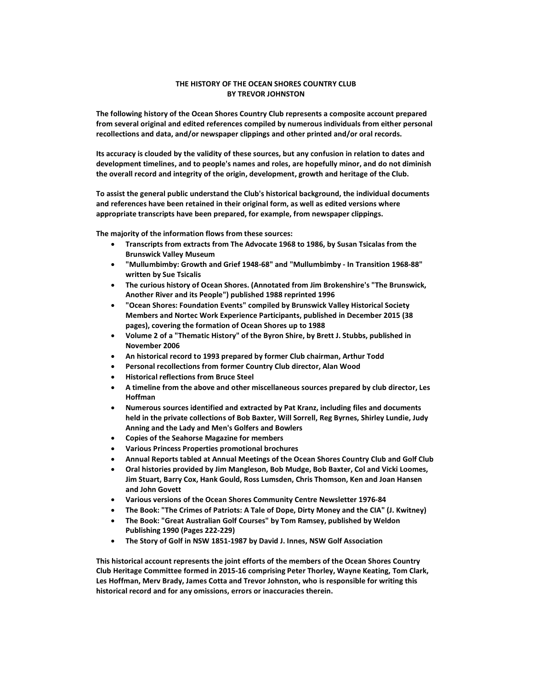## THE HISTORY OF THE OCEAN SHORES COUNTRY CLUB BY TREVOR JOHNSTON

The following history of the Ocean Shores Country Club represents a composite account prepared from several original and edited references compiled by numerous individuals from either personal recollections and data, and/or newspaper clippings and other printed and/or oral records.

Its accuracy is clouded by the validity of these sources, but any confusion in relation to dates and development timelines, and to people's names and roles, are hopefully minor, and do not diminish the overall record and integrity of the origin, development, growth and heritage of the Club.

To assist the general public understand the Club's historical background, the individual documents and references have been retained in their original form, as well as edited versions where appropriate transcripts have been prepared, for example, from newspaper clippings.

The majority of the information flows from these sources:

- Transcripts from extracts from The Advocate 1968 to 1986, by Susan Tsicalas from the Brunswick Valley Museum
- "Mullumbimby: Growth and Grief 1948-68" and "Mullumbimby In Transition 1968-88" written by Sue Tsicalis
- The curious history of Ocean Shores. (Annotated from Jim Brokenshire's "The Brunswick, Another River and its People") published 1988 reprinted 1996
- "Ocean Shores: Foundation Events" compiled by Brunswick Valley Historical Society Members and Nortec Work Experience Participants, published in December 2015 (38 pages), covering the formation of Ocean Shores up to 1988
- Volume 2 of a "Thematic History" of the Byron Shire, by Brett J. Stubbs, published in November 2006
- An historical record to 1993 prepared by former Club chairman, Arthur Todd
- Personal recollections from former Country Club director, Alan Wood
- Historical reflections from Bruce Steel
- A timeline from the above and other miscellaneous sources prepared by club director, Les Hoffman
- Numerous sources identified and extracted by Pat Kranz, including files and documents held in the private collections of Bob Baxter, Will Sorrell, Reg Byrnes, Shirley Lundie, Judy Anning and the Lady and Men's Golfers and Bowlers
- Copies of the Seahorse Magazine for members
- Various Princess Properties promotional brochures
- Annual Reports tabled at Annual Meetings of the Ocean Shores Country Club and Golf Club
- Oral histories provided by Jim Mangleson, Bob Mudge, Bob Baxter, Col and Vicki Loomes, Jim Stuart, Barry Cox, Hank Gould, Ross Lumsden, Chris Thomson, Ken and Joan Hansen and John Govett
- Various versions of the Ocean Shores Community Centre Newsletter 1976-84
- The Book: "The Crimes of Patriots: A Tale of Dope, Dirty Money and the CIA" (J. Kwitney)
- The Book: "Great Australian Golf Courses" by Tom Ramsey, published by Weldon Publishing 1990 (Pages 222-229)
- The Story of Golf in NSW 1851-1987 by David J. Innes, NSW Golf Association

This historical account represents the joint efforts of the members of the Ocean Shores Country Club Heritage Committee formed in 2015-16 comprising Peter Thorley, Wayne Keating, Tom Clark, Les Hoffman, Merv Brady, James Cotta and Trevor Johnston, who is responsible for writing this historical record and for any omissions, errors or inaccuracies therein.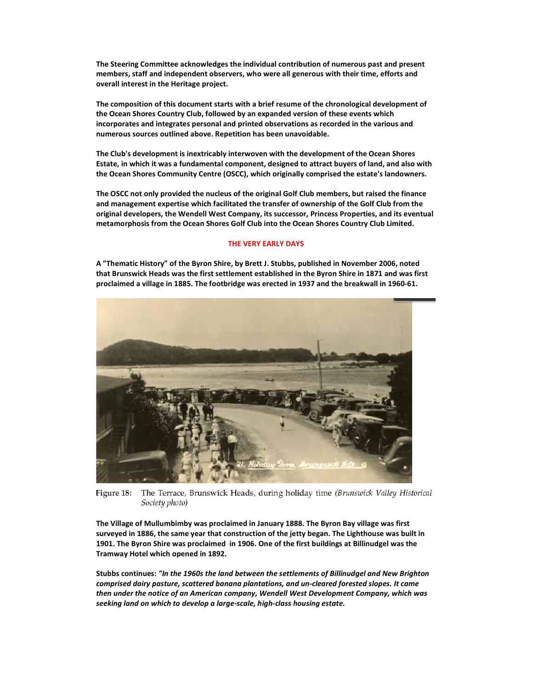The Steering Committee acknowledges the individual contribution of numerous past and present members, staff and independent observers, who were all generous with their time, efforts and overall interest in the Heritage project.

The composition of this document starts with a brief resume of the chronological development of the Ocean Shores Country Club, followed by an expanded version of these events which incorporates and integrates personal and printed observations as recorded in the various and numerous sources outlined above. Repetition has been unavoidable.

The Club's development is inextricably interwoven with the development of the Ocean Shores Estate, in which it was a fundamental component, designed to attract buyers of land, and also with the Ocean Shores Community Centre (OSCC), which originally comprised the estate's landowners.

The OSCC not only provided the nucleus of the original Golf Club members, but raised the finance and management expertise which facilitated the transfer of ownership of the Golf Club from the original developers, the Wendell West Company, its successor, Princess Properties, and its eventual metamorphosis from the Ocean Shores Golf Club into the Ocean Shores Country Club Limited.

## THE VERY EARLY DAYS

A "Thematic History" of the Byron Shire, by Brett J. Stubbs, published in November 2006, noted that Brunswick Heads was the first settlement established in the Byron Shire in 1871 and was first proclaimed a village in 1885. The footbridge was erected in 1937 and the breakwall in 1960-61.



Figure 18: The Terrace, Brunswick Heads, during holiday time (Brunswick Valley Historical Society photo)

The Village of Mullumbimby was proclaimed in January 1888. The Byron Bay village was first surveyed in 1886, the same year that construction of the jetty began. The Lighthouse was built in 1901. The Byron Shire was proclaimed in 1906. One of the first buildings at Billinudgel was the Tramway Hotel which opened in 1892.

Stubbs continues: "In the 1960s the land between the settlements of Billinudgel and New Brighton comprised dairy pasture, scattered banana plantations, and un-cleared forested slopes. It came then under the notice of an American company, Wendell West Development Company, which was seeking land on which to develop a large-scale, high-class housing estate.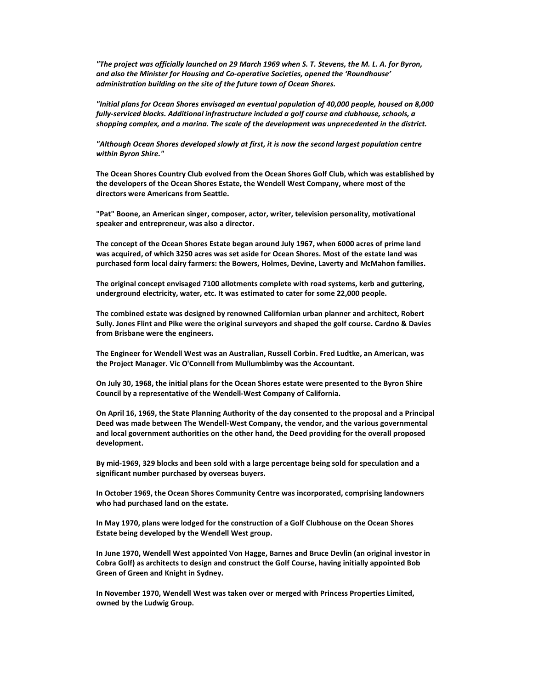"The project was officially launched on 29 March 1969 when S. T. Stevens, the M. L. A. for Byron, and also the Minister for Housing and Co-operative Societies, opened the 'Roundhouse' administration building on the site of the future town of Ocean Shores.

"Initial plans for Ocean Shores envisaged an eventual population of 40,000 people, housed on 8,000 fully-serviced blocks. Additional infrastructure included a golf course and clubhouse, schools, a shopping complex, and a marina. The scale of the development was unprecedented in the district.

"Although Ocean Shores developed slowly at first, it is now the second largest population centre within Byron Shire."

The Ocean Shores Country Club evolved from the Ocean Shores Golf Club, which was established by the developers of the Ocean Shores Estate, the Wendell West Company, where most of the directors were Americans from Seattle.

"Pat" Boone, an American singer, composer, actor, writer, television personality, motivational speaker and entrepreneur, was also a director.

The concept of the Ocean Shores Estate began around July 1967, when 6000 acres of prime land was acquired, of which 3250 acres was set aside for Ocean Shores. Most of the estate land was purchased form local dairy farmers: the Bowers, Holmes, Devine, Laverty and McMahon families.

The original concept envisaged 7100 allotments complete with road systems, kerb and guttering, underground electricity, water, etc. It was estimated to cater for some 22,000 people.

The combined estate was designed by renowned Californian urban planner and architect, Robert Sully. Jones Flint and Pike were the original surveyors and shaped the golf course. Cardno & Davies from Brisbane were the engineers.

The Engineer for Wendell West was an Australian, Russell Corbin. Fred Ludtke, an American, was the Project Manager. Vic O'Connell from Mullumbimby was the Accountant.

On July 30, 1968, the initial plans for the Ocean Shores estate were presented to the Byron Shire Council by a representative of the Wendell-West Company of California.

On April 16, 1969, the State Planning Authority of the day consented to the proposal and a Principal Deed was made between The Wendell-West Company, the vendor, and the various governmental and local government authorities on the other hand, the Deed providing for the overall proposed development.

By mid-1969, 329 blocks and been sold with a large percentage being sold for speculation and a significant number purchased by overseas buyers.

In October 1969, the Ocean Shores Community Centre was incorporated, comprising landowners who had purchased land on the estate.

In May 1970, plans were lodged for the construction of a Golf Clubhouse on the Ocean Shores Estate being developed by the Wendell West group.

In June 1970, Wendell West appointed Von Hagge, Barnes and Bruce Devlin (an original investor in Cobra Golf) as architects to design and construct the Golf Course, having initially appointed Bob Green of Green and Knight in Sydney.

In November 1970, Wendell West was taken over or merged with Princess Properties Limited, owned by the Ludwig Group.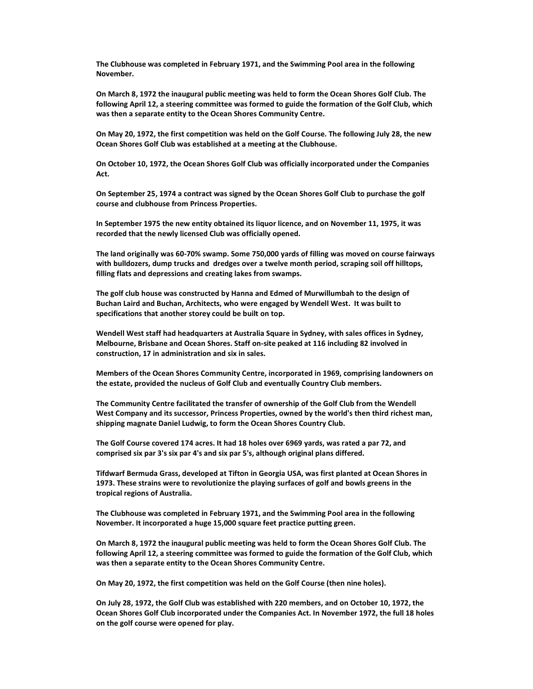The Clubhouse was completed in February 1971, and the Swimming Pool area in the following November.

On March 8, 1972 the inaugural public meeting was held to form the Ocean Shores Golf Club. The following April 12, a steering committee was formed to guide the formation of the Golf Club, which was then a separate entity to the Ocean Shores Community Centre.

On May 20, 1972, the first competition was held on the Golf Course. The following July 28, the new Ocean Shores Golf Club was established at a meeting at the Clubhouse.

On October 10, 1972, the Ocean Shores Golf Club was officially incorporated under the Companies Act.

On September 25, 1974 a contract was signed by the Ocean Shores Golf Club to purchase the golf course and clubhouse from Princess Properties.

In September 1975 the new entity obtained its liquor licence, and on November 11, 1975, it was recorded that the newly licensed Club was officially opened.

The land originally was 60-70% swamp. Some 750,000 yards of filling was moved on course fairways with bulldozers, dump trucks and dredges over a twelve month period, scraping soil off hilltops, filling flats and depressions and creating lakes from swamps.

The golf club house was constructed by Hanna and Edmed of Murwillumbah to the design of Buchan Laird and Buchan, Architects, who were engaged by Wendell West. It was built to specifications that another storey could be built on top.

Wendell West staff had headquarters at Australia Square in Sydney, with sales offices in Sydney, Melbourne, Brisbane and Ocean Shores. Staff on-site peaked at 116 including 82 involved in construction, 17 in administration and six in sales.

Members of the Ocean Shores Community Centre, incorporated in 1969, comprising landowners on the estate, provided the nucleus of Golf Club and eventually Country Club members.

The Community Centre facilitated the transfer of ownership of the Golf Club from the Wendell West Company and its successor, Princess Properties, owned by the world's then third richest man, shipping magnate Daniel Ludwig, to form the Ocean Shores Country Club.

The Golf Course covered 174 acres. It had 18 holes over 6969 yards, was rated a par 72, and comprised six par 3's six par 4's and six par 5's, although original plans differed.

Tifdwarf Bermuda Grass, developed at Tifton in Georgia USA, was first planted at Ocean Shores in 1973. These strains were to revolutionize the playing surfaces of golf and bowls greens in the tropical regions of Australia.

The Clubhouse was completed in February 1971, and the Swimming Pool area in the following November. It incorporated a huge 15,000 square feet practice putting green.

On March 8, 1972 the inaugural public meeting was held to form the Ocean Shores Golf Club. The following April 12, a steering committee was formed to guide the formation of the Golf Club, which was then a separate entity to the Ocean Shores Community Centre.

On May 20, 1972, the first competition was held on the Golf Course (then nine holes).

On July 28, 1972, the Golf Club was established with 220 members, and on October 10, 1972, the Ocean Shores Golf Club incorporated under the Companies Act. In November 1972, the full 18 holes on the golf course were opened for play.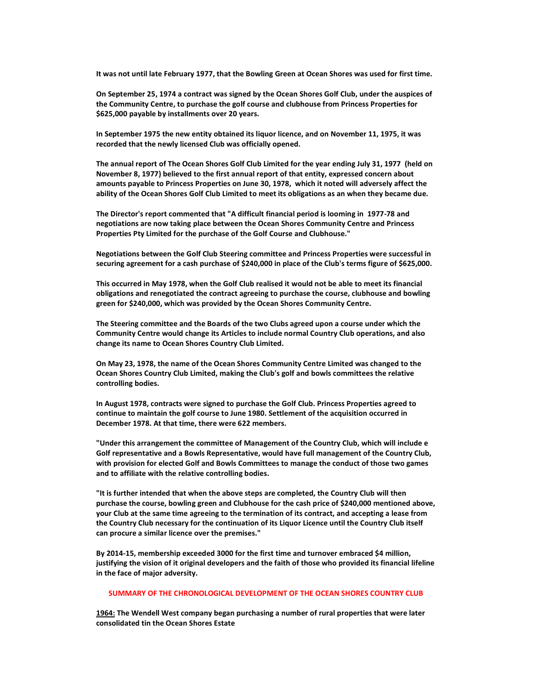It was not until late February 1977, that the Bowling Green at Ocean Shores was used for first time.

On September 25, 1974 a contract was signed by the Ocean Shores Golf Club, under the auspices of the Community Centre, to purchase the golf course and clubhouse from Princess Properties for \$625,000 payable by installments over 20 years.

In September 1975 the new entity obtained its liquor licence, and on November 11, 1975, it was recorded that the newly licensed Club was officially opened.

The annual report of The Ocean Shores Golf Club Limited for the year ending July 31, 1977 (held on November 8, 1977) believed to the first annual report of that entity, expressed concern about amounts payable to Princess Properties on June 30, 1978, which it noted will adversely affect the ability of the Ocean Shores Golf Club Limited to meet its obligations as an when they became due.

The Director's report commented that "A difficult financial period is looming in 1977-78 and negotiations are now taking place between the Ocean Shores Community Centre and Princess Properties Pty Limited for the purchase of the Golf Course and Clubhouse."

Negotiations between the Golf Club Steering committee and Princess Properties were successful in securing agreement for a cash purchase of \$240,000 in place of the Club's terms figure of \$625,000.

This occurred in May 1978, when the Golf Club realised it would not be able to meet its financial obligations and renegotiated the contract agreeing to purchase the course, clubhouse and bowling green for \$240,000, which was provided by the Ocean Shores Community Centre.

The Steering committee and the Boards of the two Clubs agreed upon a course under which the Community Centre would change its Articles to include normal Country Club operations, and also change its name to Ocean Shores Country Club Limited.

On May 23, 1978, the name of the Ocean Shores Community Centre Limited was changed to the Ocean Shores Country Club Limited, making the Club's golf and bowls committees the relative controlling bodies.

In August 1978, contracts were signed to purchase the Golf Club. Princess Properties agreed to continue to maintain the golf course to June 1980. Settlement of the acquisition occurred in December 1978. At that time, there were 622 members.

"Under this arrangement the committee of Management of the Country Club, which will include e Golf representative and a Bowls Representative, would have full management of the Country Club, with provision for elected Golf and Bowls Committees to manage the conduct of those two games and to affiliate with the relative controlling bodies.

"It is further intended that when the above steps are completed, the Country Club will then purchase the course, bowling green and Clubhouse for the cash price of \$240,000 mentioned above, your Club at the same time agreeing to the termination of its contract, and accepting a lease from the Country Club necessary for the continuation of its Liquor Licence until the Country Club itself can procure a similar licence over the premises."

By 2014-15, membership exceeded 3000 for the first time and turnover embraced \$4 million, justifying the vision of it original developers and the faith of those who provided its financial lifeline in the face of major adversity.

## SUMMARY OF THE CHRONOLOGICAL DEVELOPMENT OF THE OCEAN SHORES COUNTRY CLUB

1964: The Wendell West company began purchasing a number of rural properties that were later consolidated tin the Ocean Shores Estate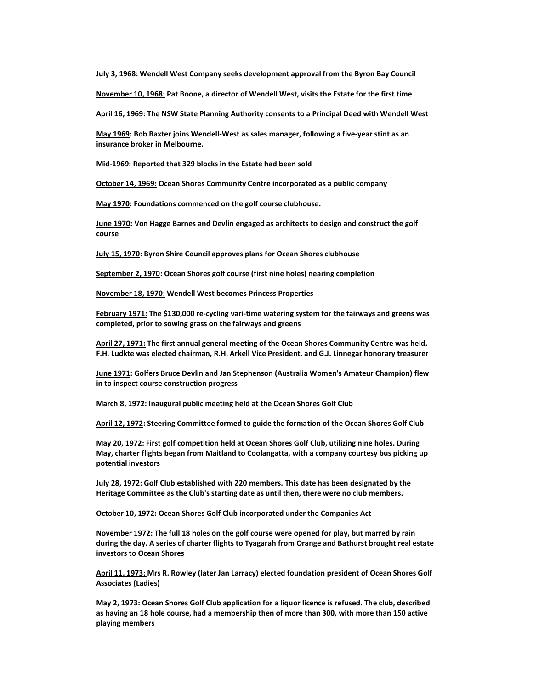July 3, 1968: Wendell West Company seeks development approval from the Byron Bay Council

November 10, 1968: Pat Boone, a director of Wendell West, visits the Estate for the first time

April 16, 1969: The NSW State Planning Authority consents to a Principal Deed with Wendell West

May 1969: Bob Baxter joins Wendell-West as sales manager, following a five-year stint as an insurance broker in Melbourne.

Mid-1969: Reported that 329 blocks in the Estate had been sold

October 14, 1969: Ocean Shores Community Centre incorporated as a public company

May 1970: Foundations commenced on the golf course clubhouse.

June 1970: Von Hagge Barnes and Devlin engaged as architects to design and construct the golf course

July 15, 1970: Byron Shire Council approves plans for Ocean Shores clubhouse

September 2, 1970: Ocean Shores golf course (first nine holes) nearing completion

November 18, 1970: Wendell West becomes Princess Properties

February 1971: The \$130,000 re-cycling vari-time watering system for the fairways and greens was completed, prior to sowing grass on the fairways and greens

April 27, 1971: The first annual general meeting of the Ocean Shores Community Centre was held. F.H. Ludkte was elected chairman, R.H. Arkell Vice President, and G.J. Linnegar honorary treasurer

June 1971: Golfers Bruce Devlin and Jan Stephenson (Australia Women's Amateur Champion) flew in to inspect course construction progress

March 8, 1972: Inaugural public meeting held at the Ocean Shores Golf Club

April 12, 1972: Steering Committee formed to guide the formation of the Ocean Shores Golf Club

May 20, 1972: First golf competition held at Ocean Shores Golf Club, utilizing nine holes. During May, charter flights began from Maitland to Coolangatta, with a company courtesy bus picking up potential investors

July 28, 1972: Golf Club established with 220 members. This date has been designated by the Heritage Committee as the Club's starting date as until then, there were no club members.

October 10, 1972: Ocean Shores Golf Club incorporated under the Companies Act

November 1972: The full 18 holes on the golf course were opened for play, but marred by rain during the day. A series of charter flights to Tyagarah from Orange and Bathurst brought real estate investors to Ocean Shores

April 11, 1973: Mrs R. Rowley (later Jan Larracy) elected foundation president of Ocean Shores Golf Associates (Ladies)

May 2, 1973: Ocean Shores Golf Club application for a liquor licence is refused. The club, described as having an 18 hole course, had a membership then of more than 300, with more than 150 active playing members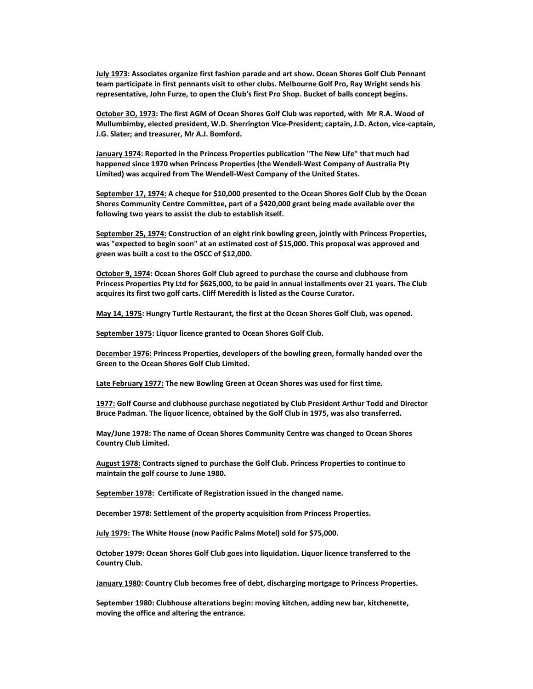July 1973: Associates organize first fashion parade and art show. Ocean Shores Golf Club Pennant team participate in first pennants visit to other clubs. Melbourne Golf Pro, Ray Wright sends his representative, John Furze, to open the Club's first Pro Shop. Bucket of balls concept begins.

October 3O, 1973: The first AGM of Ocean Shores Golf Club was reported, with Mr R.A. Wood of Mullumbimby, elected president, W.D. Sherrington Vice-President; captain, J.D. Acton, vice-captain, J.G. Slater; and treasurer, Mr A.J. Bomford.

January 1974: Reported in the Princess Properties publication "The New Life" that much had happened since 1970 when Princess Properties (the Wendell-West Company of Australia Pty Limited) was acquired from The Wendell-West Company of the United States.

September 17, 1974: A cheque for \$10,000 presented to the Ocean Shores Golf Club by the Ocean Shores Community Centre Committee, part of a \$420,000 grant being made available over the following two years to assist the club to establish itself.

September 25, 1974: Construction of an eight rink bowling green, jointly with Princess Properties, was "expected to begin soon" at an estimated cost of \$15,000. This proposal was approved and green was built a cost to the OSCC of \$12,000.

October 9, 1974: Ocean Shores Golf Club agreed to purchase the course and clubhouse from Princess Properties Pty Ltd for \$625,000, to be paid in annual installments over 21 years. The Club acquires its first two golf carts. Cliff Meredith is listed as the Course Curator.

May 14, 1975: Hungry Turtle Restaurant, the first at the Ocean Shores Golf Club, was opened.

September 1975: Liquor licence granted to Ocean Shores Golf Club.

December 1976: Princess Properties, developers of the bowling green, formally handed over the Green to the Ocean Shores Golf Club Limited.

Late February 1977: The new Bowling Green at Ocean Shores was used for first time.

1977: Golf Course and clubhouse purchase negotiated by Club President Arthur Todd and Director Bruce Padman. The liquor licence, obtained by the Golf Club in 1975, was also transferred.

May/June 1978: The name of Ocean Shores Community Centre was changed to Ocean Shores Country Club Limited.

August 1978: Contracts signed to purchase the Golf Club. Princess Properties to continue to maintain the golf course to June 1980.

September 1978: Certificate of Registration issued in the changed name.

December 1978: Settlement of the property acquisition from Princess Properties.

July 1979: The White House (now Pacific Palms Motel) sold for \$75,000.

October 1979: Ocean Shores Golf Club goes into liquidation. Liquor licence transferred to the Country Club.

January 1980: Country Club becomes free of debt, discharging mortgage to Princess Properties.

September 1980: Clubhouse alterations begin: moving kitchen, adding new bar, kitchenette, moving the office and altering the entrance.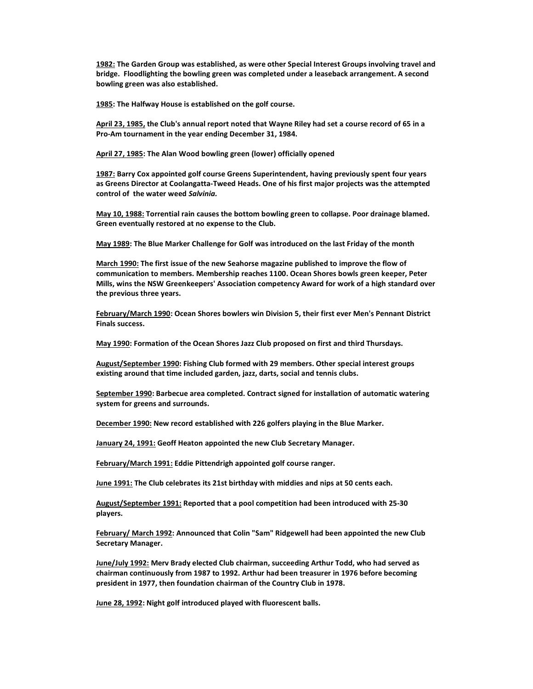1982: The Garden Group was established, as were other Special Interest Groups involving travel and bridge. Floodlighting the bowling green was completed under a leaseback arrangement. A second bowling green was also established.

1985: The Halfway House is established on the golf course.

April 23, 1985, the Club's annual report noted that Wayne Riley had set a course record of 65 in a Pro-Am tournament in the year ending December 31, 1984.

April 27, 1985: The Alan Wood bowling green (lower) officially opened

1987: Barry Cox appointed golf course Greens Superintendent, having previously spent four years as Greens Director at Coolangatta-Tweed Heads. One of his first major projects was the attempted control of the water weed Salvinia.

May 10, 1988: Torrential rain causes the bottom bowling green to collapse. Poor drainage blamed. Green eventually restored at no expense to the Club.

May 1989: The Blue Marker Challenge for Golf was introduced on the last Friday of the month

March 1990: The first issue of the new Seahorse magazine published to improve the flow of communication to members. Membership reaches 1100. Ocean Shores bowls green keeper, Peter Mills, wins the NSW Greenkeepers' Association competency Award for work of a high standard over the previous three years.

February/March 1990: Ocean Shores bowlers win Division 5, their first ever Men's Pennant District Finals success.

May 1990: Formation of the Ocean Shores Jazz Club proposed on first and third Thursdays.

August/September 1990: Fishing Club formed with 29 members. Other special interest groups existing around that time included garden, jazz, darts, social and tennis clubs.

September 1990: Barbecue area completed. Contract signed for installation of automatic watering system for greens and surrounds.

December 1990: New record established with 226 golfers playing in the Blue Marker.

January 24, 1991: Geoff Heaton appointed the new Club Secretary Manager.

February/March 1991: Eddie Pittendrigh appointed golf course ranger.

June 1991: The Club celebrates its 21st birthday with middies and nips at 50 cents each.

August/September 1991: Reported that a pool competition had been introduced with 25-30 players.

February/ March 1992: Announced that Colin "Sam" Ridgewell had been appointed the new Club Secretary Manager.

June/July 1992: Merv Brady elected Club chairman, succeeding Arthur Todd, who had served as chairman continuously from 1987 to 1992. Arthur had been treasurer in 1976 before becoming president in 1977, then foundation chairman of the Country Club in 1978.

June 28, 1992: Night golf introduced played with fluorescent balls.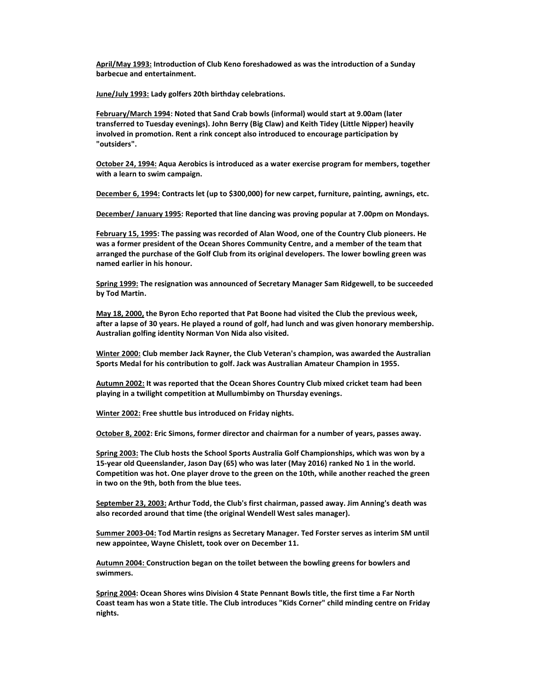April/May 1993: Introduction of Club Keno foreshadowed as was the introduction of a Sunday barbecue and entertainment.

June/July 1993: Lady golfers 20th birthday celebrations.

February/March 1994: Noted that Sand Crab bowls (informal) would start at 9.00am (later transferred to Tuesday evenings). John Berry (Big Claw) and Keith Tidey (Little Nipper) heavily involved in promotion. Rent a rink concept also introduced to encourage participation by "outsiders".

October 24, 1994: Aqua Aerobics is introduced as a water exercise program for members, together with a learn to swim campaign.

December 6, 1994: Contracts let (up to \$300,000) for new carpet, furniture, painting, awnings, etc.

December/ January 1995: Reported that line dancing was proving popular at 7.00pm on Mondays.

February 15, 1995: The passing was recorded of Alan Wood, one of the Country Club pioneers. He was a former president of the Ocean Shores Community Centre, and a member of the team that arranged the purchase of the Golf Club from its original developers. The lower bowling green was named earlier in his honour.

Spring 1999: The resignation was announced of Secretary Manager Sam Ridgewell, to be succeeded by Tod Martin.

May 18, 2000, the Byron Echo reported that Pat Boone had visited the Club the previous week, after a lapse of 30 years. He played a round of golf, had lunch and was given honorary membership. Australian golfing identity Norman Von Nida also visited.

Winter 2000: Club member Jack Rayner, the Club Veteran's champion, was awarded the Australian Sports Medal for his contribution to golf. Jack was Australian Amateur Champion in 1955.

Autumn 2002: It was reported that the Ocean Shores Country Club mixed cricket team had been playing in a twilight competition at Mullumbimby on Thursday evenings.

Winter 2002: Free shuttle bus introduced on Friday nights.

October 8, 2002: Eric Simons, former director and chairman for a number of years, passes away.

Spring 2003: The Club hosts the School Sports Australia Golf Championships, which was won by a 15-year old Queenslander, Jason Day (65) who was later (May 2016) ranked No 1 in the world. Competition was hot. One player drove to the green on the 10th, while another reached the green in two on the 9th, both from the blue tees.

September 23, 2003: Arthur Todd, the Club's first chairman, passed away. Jim Anning's death was also recorded around that time (the original Wendell West sales manager).

Summer 2003-04: Tod Martin resigns as Secretary Manager. Ted Forster serves as interim SM until new appointee, Wayne Chislett, took over on December 11.

Autumn 2004: Construction began on the toilet between the bowling greens for bowlers and swimmers.

Spring 2004: Ocean Shores wins Division 4 State Pennant Bowls title, the first time a Far North Coast team has won a State title. The Club introduces "Kids Corner" child minding centre on Friday nights.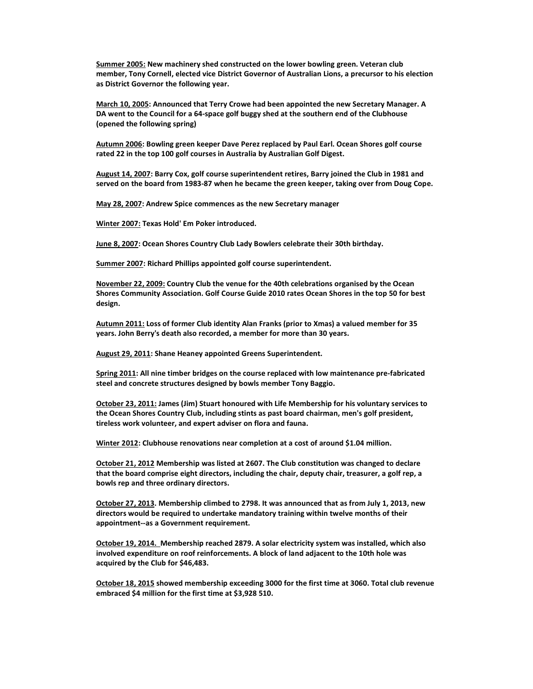Summer 2005: New machinery shed constructed on the lower bowling green. Veteran club member, Tony Cornell, elected vice District Governor of Australian Lions, a precursor to his election as District Governor the following year.

March 10, 2005: Announced that Terry Crowe had been appointed the new Secretary Manager. A DA went to the Council for a 64-space golf buggy shed at the southern end of the Clubhouse (opened the following spring)

Autumn 2006: Bowling green keeper Dave Perez replaced by Paul Earl. Ocean Shores golf course rated 22 in the top 100 golf courses in Australia by Australian Golf Digest.

August 14, 2007: Barry Cox, golf course superintendent retires, Barry joined the Club in 1981 and served on the board from 1983-87 when he became the green keeper, taking over from Doug Cope.

May 28, 2007: Andrew Spice commences as the new Secretary manager

Winter 2007: Texas Hold' Em Poker introduced.

June 8, 2007: Ocean Shores Country Club Lady Bowlers celebrate their 30th birthday.

Summer 2007: Richard Phillips appointed golf course superintendent.

November 22, 2009: Country Club the venue for the 40th celebrations organised by the Ocean Shores Community Association. Golf Course Guide 2010 rates Ocean Shores in the top 50 for best design.

Autumn 2011: Loss of former Club identity Alan Franks (prior to Xmas) a valued member for 35 years. John Berry's death also recorded, a member for more than 30 years.

August 29, 2011: Shane Heaney appointed Greens Superintendent.

Spring 2011: All nine timber bridges on the course replaced with low maintenance pre-fabricated steel and concrete structures designed by bowls member Tony Baggio.

October 23, 2011: James (Jim) Stuart honoured with Life Membership for his voluntary services to the Ocean Shores Country Club, including stints as past board chairman, men's golf president, tireless work volunteer, and expert adviser on flora and fauna.

Winter 2012: Clubhouse renovations near completion at a cost of around \$1.04 million.

October 21, 2012 Membership was listed at 2607. The Club constitution was changed to declare that the board comprise eight directors, including the chair, deputy chair, treasurer, a golf rep, a bowls rep and three ordinary directors.

October 27, 2013. Membership climbed to 2798. It was announced that as from July 1, 2013, new directors would be required to undertake mandatory training within twelve months of their appointment--as a Government requirement.

October 19, 2014. Membership reached 2879. A solar electricity system was installed, which also involved expenditure on roof reinforcements. A block of land adjacent to the 10th hole was acquired by the Club for \$46,483.

October 18, 2015 showed membership exceeding 3000 for the first time at 3060. Total club revenue embraced \$4 million for the first time at \$3,928 510.